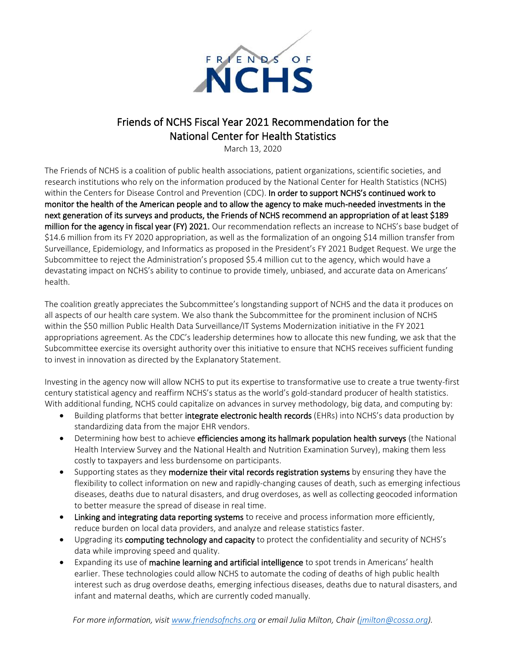

## Friends of NCHS Fiscal Year 2021 Recommendation for the National Center for Health Statistics

March 13, 2020

The Friends of NCHS is a coalition of public health associations, patient organizations, scientific societies, and research institutions who rely on the information produced by the National Center for Health Statistics (NCHS) within the Centers for Disease Control and Prevention (CDC). In order to support NCHS's continued work to monitor the health of the American people and to allow the agency to make much-needed investments in the next generation of its surveys and products, the Friends of NCHS recommend an appropriation of at least \$189 million for the agency in fiscal year (FY) 2021. Our recommendation reflects an increase to NCHS's base budget of \$14.6 million from its FY 2020 appropriation, as well as the formalization of an ongoing \$14 million transfer from Surveillance, Epidemiology, and Informatics as proposed in the President's FY 2021 Budget Request. We urge the Subcommittee to reject the Administration's proposed \$5.4 million cut to the agency, which would have a devastating impact on NCHS's ability to continue to provide timely, unbiased, and accurate data on Americans' health.

The coalition greatly appreciates the Subcommittee's longstanding support of NCHS and the data it produces on all aspects of our health care system. We also thank the Subcommittee for the prominent inclusion of NCHS within the \$50 million Public Health Data Surveillance/IT Systems Modernization initiative in the FY 2021 appropriations agreement. As the CDC's leadership determines how to allocate this new funding, we ask that the Subcommittee exercise its oversight authority over this initiative to ensure that NCHS receives sufficient funding to invest in innovation as directed by the Explanatory Statement.

Investing in the agency now will allow NCHS to put its expertise to transformative use to create a true twenty-first century statistical agency and reaffirm NCHS's status as the world's gold-standard producer of health statistics. With additional funding, NCHS could capitalize on advances in survey methodology, big data, and computing by:

- Building platforms that better integrate electronic health records (EHRs) into NCHS's data production by standardizing data from the major EHR vendors.
- Determining how best to achieve efficiencies among its hallmark population health surveys (the National Health Interview Survey and the National Health and Nutrition Examination Survey), making them less costly to taxpayers and less burdensome on participants.
- Supporting states as they modernize their vital records registration systems by ensuring they have the flexibility to collect information on new and rapidly-changing causes of death, such as emerging infectious diseases, deaths due to natural disasters, and drug overdoses, as well as collecting geocoded information to better measure the spread of disease in real time.
- Linking and integrating data reporting systems to receive and process information more efficiently, reduce burden on local data providers, and analyze and release statistics faster.
- Upgrading its computing technology and capacity to protect the confidentiality and security of NCHS's data while improving speed and quality.
- Expanding its use of machine learning and artificial intelligence to spot trends in Americans' health earlier. These technologies could allow NCHS to automate the coding of deaths of high public health interest such as drug overdose deaths, emerging infectious diseases, deaths due to natural disasters, and infant and maternal deaths, which are currently coded manually.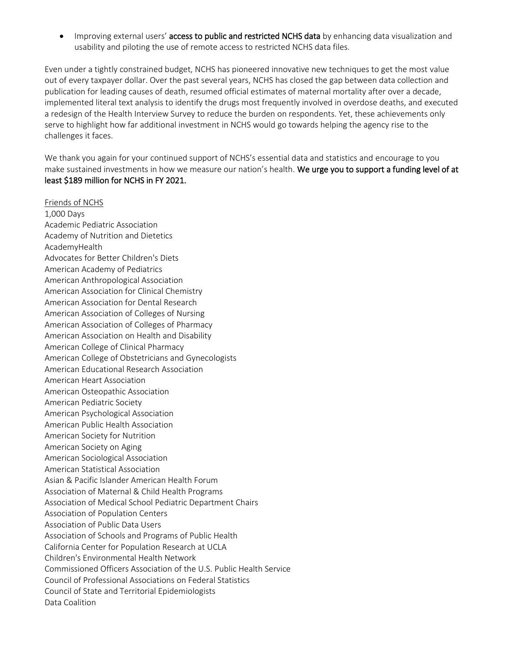• Improving external users' access to public and restricted NCHS data by enhancing data visualization and usability and piloting the use of remote access to restricted NCHS data files.

Even under a tightly constrained budget, NCHS has pioneered innovative new techniques to get the most value out of every taxpayer dollar. Over the past several years, NCHS has closed the gap between data collection and publication for leading causes of death, resumed official estimates of maternal mortality after over a decade, implemented literal text analysis to identify the drugs most frequently involved in overdose deaths, and executed a redesign of the Health Interview Survey to reduce the burden on respondents. Yet, these achievements only serve to highlight how far additional investment in NCHS would go towards helping the agency rise to the challenges it faces.

We thank you again for your continued support of NCHS's essential data and statistics and encourage to you make sustained investments in how we measure our nation's health. We urge you to support a funding level of at least \$189 million for NCHS in FY 2021.

Friends of NCHS 1,000 Days Academic Pediatric Association Academy of Nutrition and Dietetics AcademyHealth Advocates for Better Children's Diets American Academy of Pediatrics American Anthropological Association American Association for Clinical Chemistry American Association for Dental Research American Association of Colleges of Nursing American Association of Colleges of Pharmacy American Association on Health and Disability American College of Clinical Pharmacy American College of Obstetricians and Gynecologists American Educational Research Association American Heart Association American Osteopathic Association American Pediatric Society American Psychological Association American Public Health Association American Society for Nutrition American Society on Aging American Sociological Association American Statistical Association Asian & Pacific Islander American Health Forum Association of Maternal & Child Health Programs Association of Medical School Pediatric Department Chairs Association of Population Centers Association of Public Data Users Association of Schools and Programs of Public Health California Center for Population Research at UCLA Children's Environmental Health Network Commissioned Officers Association of the U.S. Public Health Service Council of Professional Associations on Federal Statistics Council of State and Territorial Epidemiologists Data Coalition